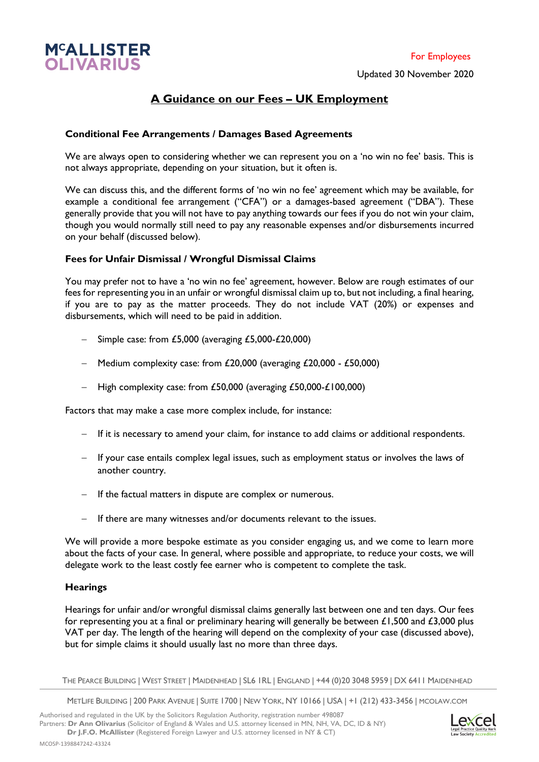

# **A Guidance on our Fees – UK Employment**

## **Conditional Fee Arrangements / Damages Based Agreements**

We are always open to considering whether we can represent you on a 'no win no fee' basis. This is not always appropriate, depending on your situation, but it often is.

We can discuss this, and the different forms of 'no win no fee' agreement which may be available, for example a conditional fee arrangement ("CFA") or a damages-based agreement ("DBA"). These generally provide that you will not have to pay anything towards our fees if you do not win your claim, though you would normally still need to pay any reasonable expenses and/or disbursements incurred on your behalf (discussed below).

### **Fees for Unfair Dismissal / Wrongful Dismissal Claims**

You may prefer not to have a 'no win no fee' agreement, however. Below are rough estimates of our fees for representing you in an unfair or wrongful dismissal claim up to, but not including, a final hearing, if you are to pay as the matter proceeds. They do not include VAT (20%) or expenses and disbursements, which will need to be paid in addition.

- − Simple case: from £5,000 (averaging £5,000-£20,000)
- − Medium complexity case: from £20,000 (averaging £20,000 £50,000)
- − High complexity case: from £50,000 (averaging £50,000-£100,000)

Factors that may make a case more complex include, for instance:

- − If it is necessary to amend your claim, for instance to add claims or additional respondents.
- − If your case entails complex legal issues, such as employment status or involves the laws of another country.
- − If the factual matters in dispute are complex or numerous.
- − If there are many witnesses and/or documents relevant to the issues.

We will provide a more bespoke estimate as you consider engaging us, and we come to learn more about the facts of your case. In general, where possible and appropriate, to reduce your costs, we will delegate work to the least costly fee earner who is competent to complete the task.

## **Hearings**

Hearings for unfair and/or wrongful dismissal claims generally last between one and ten days. Our fees for representing you at a final or preliminary hearing will generally be between £1,500 and £3,000 plus VAT per day. The length of the hearing will depend on the complexity of your case (discussed above), but for simple claims it should usually last no more than three days.

THE PEARCE BUILDING | WEST STREET | MAIDENHEAD | SL6 1RL | ENGLAND | +44 (0)20 3048 5959 | DX 6411 MAIDENHEAD

METLIFE BUILDING | 200 PARK AVENUE | SUITE 1700 | NEW YORK, NY 10166 | USA | +1 (212) 433-3456 | MCOLAW.COM